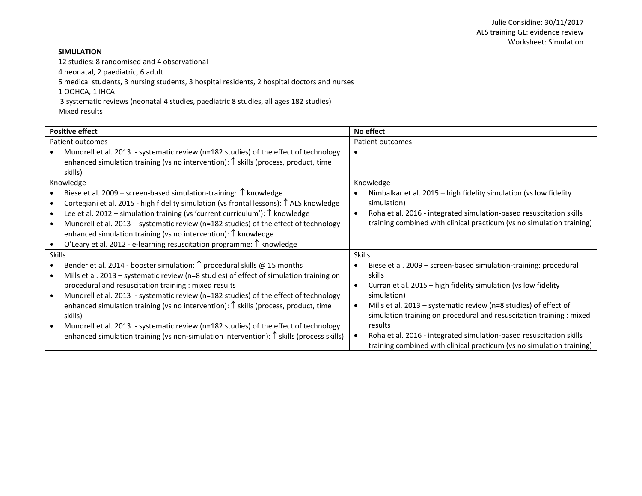# **SIMULATION**

12 studies: 8 randomised and 4 observational

4 neonatal, 2 paediatric, 6 adult

5 medical students, 3 nursing students, 3 hospital residents, 2 hospital doctors and nurses

1 OOHCA, 1 IHCA

3 systematic reviews (neonatal 4 studies, paediatric 8 studies, all ages 182 studies)

Mixed results

| <b>Positive effect</b>                                                                                                                                                                                                                                                                                                                                                                                                                                                                                              | No effect                                                                                                                                                                                                                                     |
|---------------------------------------------------------------------------------------------------------------------------------------------------------------------------------------------------------------------------------------------------------------------------------------------------------------------------------------------------------------------------------------------------------------------------------------------------------------------------------------------------------------------|-----------------------------------------------------------------------------------------------------------------------------------------------------------------------------------------------------------------------------------------------|
| Patient outcomes                                                                                                                                                                                                                                                                                                                                                                                                                                                                                                    | Patient outcomes                                                                                                                                                                                                                              |
| Mundrell et al. 2013 - systematic review (n=182 studies) of the effect of technology<br>enhanced simulation training (vs no intervention): $\uparrow$ skills (process, product, time<br>skills)                                                                                                                                                                                                                                                                                                                     |                                                                                                                                                                                                                                               |
| Knowledge                                                                                                                                                                                                                                                                                                                                                                                                                                                                                                           | Knowledge                                                                                                                                                                                                                                     |
| Biese et al. 2009 – screen-based simulation-training: $\uparrow$ knowledge<br>Cortegiani et al. 2015 - high fidelity simulation (vs frontal lessons): ↑ ALS knowledge<br>Lee et al. 2012 – simulation training (vs 'current curriculum'): $\uparrow$ knowledge<br>Mundrell et al. 2013 - systematic review (n=182 studies) of the effect of technology<br>enhanced simulation training (vs no intervention): $\uparrow$ knowledge<br>O'Leary et al. 2012 - e-learning resuscitation programme: $\uparrow$ knowledge | Nimbalkar et al. 2015 - high fidelity simulation (vs low fidelity<br>simulation)<br>Roha et al. 2016 - integrated simulation-based resuscitation skills<br>$\bullet$<br>training combined with clinical practicum (vs no simulation training) |
| <b>Skills</b>                                                                                                                                                                                                                                                                                                                                                                                                                                                                                                       | <b>Skills</b>                                                                                                                                                                                                                                 |
| Bender et al. 2014 - booster simulation: $\uparrow$ procedural skills @ 15 months<br>Mills et al. 2013 - systematic review (n=8 studies) of effect of simulation training on<br>procedural and resuscitation training : mixed results                                                                                                                                                                                                                                                                               | Biese et al. 2009 - screen-based simulation-training: procedural<br>skills<br>Curran et al. 2015 - high fidelity simulation (vs low fidelity                                                                                                  |
| Mundrell et al. 2013 - systematic review (n=182 studies) of the effect of technology<br>enhanced simulation training (vs no intervention): $\uparrow$ skills (process, product, time<br>skills)                                                                                                                                                                                                                                                                                                                     | simulation)<br>Mills et al. 2013 - systematic review (n=8 studies) of effect of<br>$\bullet$<br>simulation training on procedural and resuscitation training : mixed                                                                          |
| Mundrell et al. 2013 - systematic review (n=182 studies) of the effect of technology<br>enhanced simulation training (vs non-simulation intervention): $\uparrow$ skills (process skills)                                                                                                                                                                                                                                                                                                                           | results<br>Roha et al. 2016 - integrated simulation-based resuscitation skills<br>training combined with clinical practicum (vs no simulation training)                                                                                       |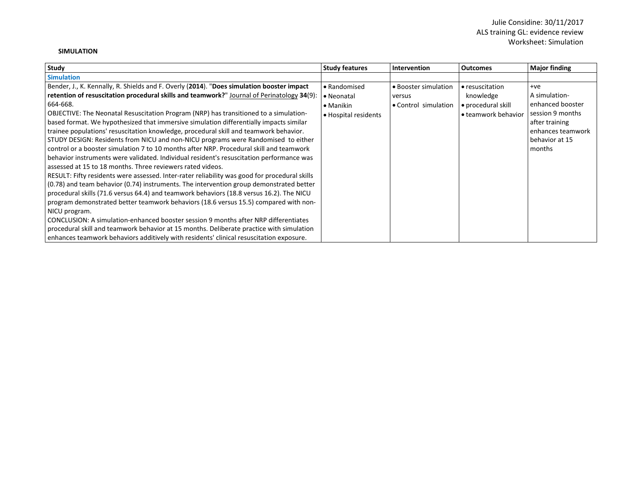### **SIMULATION**

| Study                                                                                         | <b>Study features</b> | <b>Intervention</b>  | <b>Outcomes</b>     | <b>Major finding</b> |
|-----------------------------------------------------------------------------------------------|-----------------------|----------------------|---------------------|----------------------|
| <b>Simulation</b>                                                                             |                       |                      |                     |                      |
| Bender, J., K. Kennally, R. Shields and F. Overly (2014). "Does simulation booster impact     | • Randomised          | • Booster simulation | • resuscitation     | $+ve$                |
| retention of resuscitation procedural skills and teamwork?" Journal of Perinatology $34(9)$ : | • Neonatal            | versus               | knowledge           | A simulation-        |
| 664-668.                                                                                      | $\bullet$ Manikin     | • Control simulation | · procedural skill  | enhanced booster     |
| OBJECTIVE: The Neonatal Resuscitation Program (NRP) has transitioned to a simulation-         | • Hospital residents  |                      | • teamwork behavior | session 9 months     |
| based format. We hypothesized that immersive simulation differentially impacts similar        |                       |                      |                     | after training       |
| trainee populations' resuscitation knowledge, procedural skill and teamwork behavior.         |                       |                      |                     | enhances teamwork    |
| STUDY DESIGN: Residents from NICU and non-NICU programs were Randomised to either             |                       |                      |                     | behavior at 15       |
| control or a booster simulation 7 to 10 months after NRP. Procedural skill and teamwork       |                       |                      |                     | months               |
| behavior instruments were validated. Individual resident's resuscitation performance was      |                       |                      |                     |                      |
| assessed at 15 to 18 months. Three reviewers rated videos.                                    |                       |                      |                     |                      |
| RESULT: Fifty residents were assessed. Inter-rater reliability was good for procedural skills |                       |                      |                     |                      |
| (0.78) and team behavior (0.74) instruments. The intervention group demonstrated better       |                       |                      |                     |                      |
| procedural skills (71.6 versus 64.4) and teamwork behaviors (18.8 versus 16.2). The NICU      |                       |                      |                     |                      |
| program demonstrated better teamwork behaviors (18.6 versus 15.5) compared with non-          |                       |                      |                     |                      |
| NICU program.                                                                                 |                       |                      |                     |                      |
| CONCLUSION: A simulation-enhanced booster session 9 months after NRP differentiates           |                       |                      |                     |                      |
| procedural skill and teamwork behavior at 15 months. Deliberate practice with simulation      |                       |                      |                     |                      |
| enhances teamwork behaviors additively with residents' clinical resuscitation exposure.       |                       |                      |                     |                      |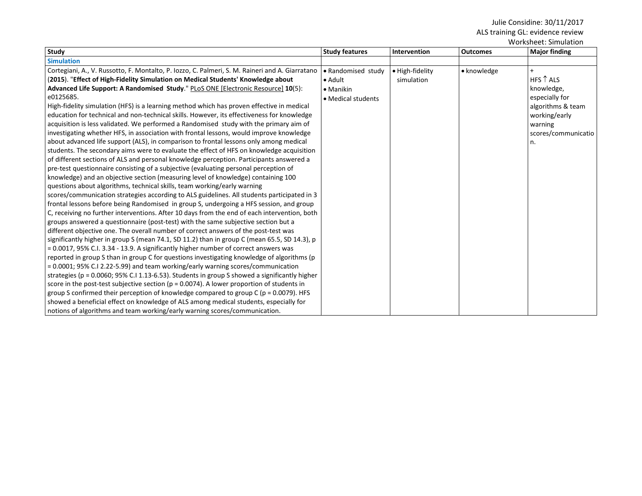| Study                                                                                             | <b>Study features</b> | Intervention    | <b>Outcomes</b> | <b>WULNSHEEL, JIHRHAUUH</b><br><b>Major finding</b> |
|---------------------------------------------------------------------------------------------------|-----------------------|-----------------|-----------------|-----------------------------------------------------|
| <b>Simulation</b>                                                                                 |                       |                 |                 |                                                     |
| Cortegiani, A., V. Russotto, F. Montalto, P. Iozzo, C. Palmeri, S. M. Raineri and A. Giarratano   | • Randomised study    | • High-fidelity | • knowledge     |                                                     |
| (2015). "Effect of High-Fidelity Simulation on Medical Students' Knowledge about                  | $\bullet$ Adult       | simulation      |                 | HFS $\uparrow$ ALS                                  |
| Advanced Life Support: A Randomised Study." PLoS ONE [Electronic Resource] 10(5):                 | • Manikin             |                 |                 | knowledge,                                          |
| e0125685.                                                                                         | • Medical students    |                 |                 | especially for                                      |
| High-fidelity simulation (HFS) is a learning method which has proven effective in medical         |                       |                 |                 | algorithms & team                                   |
| education for technical and non-technical skills. However, its effectiveness for knowledge        |                       |                 |                 | working/early                                       |
| acquisition is less validated. We performed a Randomised study with the primary aim of            |                       |                 |                 | warning                                             |
| investigating whether HFS, in association with frontal lessons, would improve knowledge           |                       |                 |                 | scores/communicatio                                 |
| about advanced life support (ALS), in comparison to frontal lessons only among medical            |                       |                 |                 | n.                                                  |
| students. The secondary aims were to evaluate the effect of HFS on knowledge acquisition          |                       |                 |                 |                                                     |
| of different sections of ALS and personal knowledge perception. Participants answered a           |                       |                 |                 |                                                     |
| pre-test questionnaire consisting of a subjective (evaluating personal perception of              |                       |                 |                 |                                                     |
| knowledge) and an objective section (measuring level of knowledge) containing 100                 |                       |                 |                 |                                                     |
| questions about algorithms, technical skills, team working/early warning                          |                       |                 |                 |                                                     |
| scores/communication strategies according to ALS guidelines. All students participated in 3       |                       |                 |                 |                                                     |
| frontal lessons before being Randomised in group S, undergoing a HFS session, and group           |                       |                 |                 |                                                     |
| C, receiving no further interventions. After 10 days from the end of each intervention, both      |                       |                 |                 |                                                     |
| groups answered a questionnaire (post-test) with the same subjective section but a                |                       |                 |                 |                                                     |
| different objective one. The overall number of correct answers of the post-test was               |                       |                 |                 |                                                     |
| significantly higher in group S (mean 74.1, SD 11.2) than in group C (mean 65.5, SD 14.3), p      |                       |                 |                 |                                                     |
| = 0.0017, 95% C.I. 3.34 - 13.9. A significantly higher number of correct answers was              |                       |                 |                 |                                                     |
| reported in group S than in group C for questions investigating knowledge of algorithms (p        |                       |                 |                 |                                                     |
| = 0.0001; 95% C.I 2.22-5.99) and team working/early warning scores/communication                  |                       |                 |                 |                                                     |
| strategies ( $p = 0.0060$ ; 95% C.I 1.13-6.53). Students in group S showed a significantly higher |                       |                 |                 |                                                     |
| score in the post-test subjective section ( $p = 0.0074$ ). A lower proportion of students in     |                       |                 |                 |                                                     |
| group S confirmed their perception of knowledge compared to group C ( $p = 0.0079$ ). HFS         |                       |                 |                 |                                                     |
| showed a beneficial effect on knowledge of ALS among medical students, especially for             |                       |                 |                 |                                                     |
| notions of algorithms and team working/early warning scores/communication.                        |                       |                 |                 |                                                     |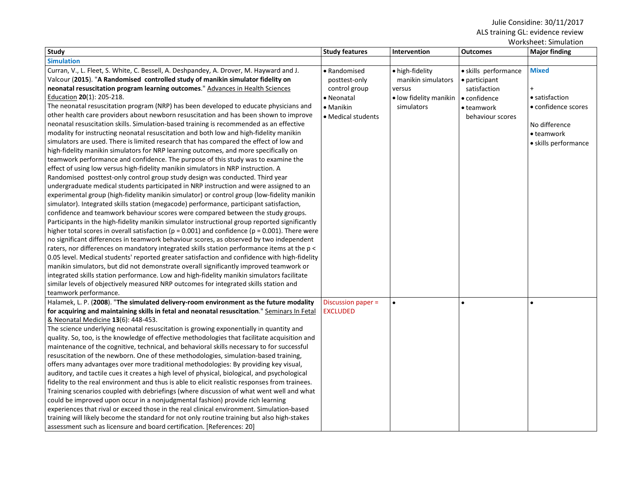|                                                                                                        |                       |                        |                      | Worksheet: Simulation |
|--------------------------------------------------------------------------------------------------------|-----------------------|------------------------|----------------------|-----------------------|
| Study                                                                                                  | <b>Study features</b> | Intervention           | <b>Outcomes</b>      | <b>Major finding</b>  |
| <b>Simulation</b>                                                                                      |                       |                        |                      |                       |
| Curran, V., L. Fleet, S. White, C. Bessell, A. Deshpandey, A. Drover, M. Hayward and J.                | · Randomised          | • high-fidelity        | · skills performance | <b>Mixed</b>          |
| Valcour (2015). "A Randomised controlled study of manikin simulator fidelity on                        | posttest-only         | manikin simulators     | • participant        |                       |
| neonatal resuscitation program learning outcomes." Advances in Health Sciences                         | control group         | versus                 | satisfaction         | $\ddot{}$             |
| Education 20(1): 205-218.                                                                              | • Neonatal            | • low fidelity manikin | $\bullet$ confidence | • satisfaction        |
| The neonatal resuscitation program (NRP) has been developed to educate physicians and                  | • Manikin             | simulators             | • teamwork           | • confidence scores   |
| other health care providers about newborn resuscitation and has been shown to improve                  | • Medical students    |                        | behaviour scores     |                       |
| neonatal resuscitation skills. Simulation-based training is recommended as an effective                |                       |                        |                      | No difference         |
| modality for instructing neonatal resuscitation and both low and high-fidelity manikin                 |                       |                        |                      | • teamwork            |
| simulators are used. There is limited research that has compared the effect of low and                 |                       |                        |                      | · skills performance  |
| high-fidelity manikin simulators for NRP learning outcomes, and more specifically on                   |                       |                        |                      |                       |
| teamwork performance and confidence. The purpose of this study was to examine the                      |                       |                        |                      |                       |
| effect of using low versus high-fidelity manikin simulators in NRP instruction. A                      |                       |                        |                      |                       |
| Randomised posttest-only control group study design was conducted. Third year                          |                       |                        |                      |                       |
| undergraduate medical students participated in NRP instruction and were assigned to an                 |                       |                        |                      |                       |
| experimental group (high-fidelity manikin simulator) or control group (low-fidelity manikin            |                       |                        |                      |                       |
| simulator). Integrated skills station (megacode) performance, participant satisfaction,                |                       |                        |                      |                       |
| confidence and teamwork behaviour scores were compared between the study groups.                       |                       |                        |                      |                       |
| Participants in the high-fidelity manikin simulator instructional group reported significantly         |                       |                        |                      |                       |
| higher total scores in overall satisfaction ( $p = 0.001$ ) and confidence ( $p = 0.001$ ). There were |                       |                        |                      |                       |
| no significant differences in teamwork behaviour scores, as observed by two independent                |                       |                        |                      |                       |
| raters, nor differences on mandatory integrated skills station performance items at the p <            |                       |                        |                      |                       |
| 0.05 level. Medical students' reported greater satisfaction and confidence with high-fidelity          |                       |                        |                      |                       |
| manikin simulators, but did not demonstrate overall significantly improved teamwork or                 |                       |                        |                      |                       |
| integrated skills station performance. Low and high-fidelity manikin simulators facilitate             |                       |                        |                      |                       |
| similar levels of objectively measured NRP outcomes for integrated skills station and                  |                       |                        |                      |                       |
| teamwork performance.                                                                                  |                       |                        |                      |                       |
| Halamek, L. P. (2008). "The simulated delivery-room environment as the future modality                 | Discussion paper =    | $\bullet$              |                      |                       |
| for acquiring and maintaining skills in fetal and neonatal resuscitation." Seminars In Fetal           | <b>EXCLUDED</b>       |                        |                      |                       |
| & Neonatal Medicine 13(6): 448-453.                                                                    |                       |                        |                      |                       |
| The science underlying neonatal resuscitation is growing exponentially in quantity and                 |                       |                        |                      |                       |
| quality. So, too, is the knowledge of effective methodologies that facilitate acquisition and          |                       |                        |                      |                       |
| maintenance of the cognitive, technical, and behavioral skills necessary to for successful             |                       |                        |                      |                       |
| resuscitation of the newborn. One of these methodologies, simulation-based training,                   |                       |                        |                      |                       |
| offers many advantages over more traditional methodologies: By providing key visual,                   |                       |                        |                      |                       |
| auditory, and tactile cues it creates a high level of physical, biological, and psychological          |                       |                        |                      |                       |
| fidelity to the real environment and thus is able to elicit realistic responses from trainees.         |                       |                        |                      |                       |
| Training scenarios coupled with debriefings (where discussion of what went well and what               |                       |                        |                      |                       |
| could be improved upon occur in a nonjudgmental fashion) provide rich learning                         |                       |                        |                      |                       |
| experiences that rival or exceed those in the real clinical environment. Simulation-based              |                       |                        |                      |                       |
| training will likely become the standard for not only routine training but also high-stakes            |                       |                        |                      |                       |
| assessment such as licensure and board certification. [References: 20]                                 |                       |                        |                      |                       |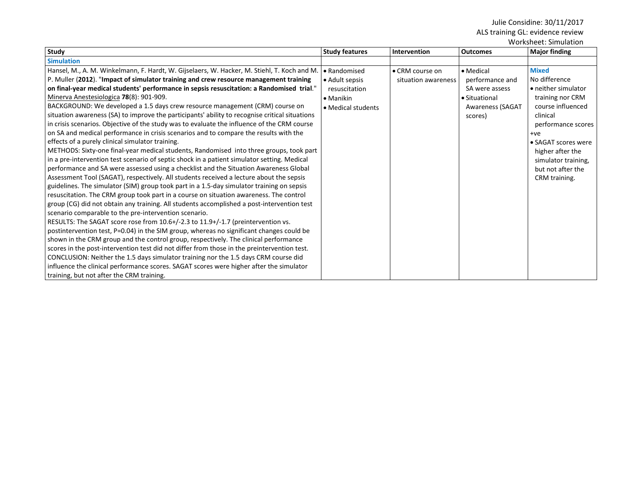Worksheet: Simulation

| Study                                                                                                                                                                                                                                                                                                                                                                                                                                                                                                                                                                                                                                                                                                                                                                                                                                                                                                                                                                                                                                                                                                                                                                                                                                                                                                                                                                              | <b>Study features</b>                                                                      | Intervention                           | <b>Outcomes</b>                                                                                       | <b>Major finding</b>                                                                                                                     |
|------------------------------------------------------------------------------------------------------------------------------------------------------------------------------------------------------------------------------------------------------------------------------------------------------------------------------------------------------------------------------------------------------------------------------------------------------------------------------------------------------------------------------------------------------------------------------------------------------------------------------------------------------------------------------------------------------------------------------------------------------------------------------------------------------------------------------------------------------------------------------------------------------------------------------------------------------------------------------------------------------------------------------------------------------------------------------------------------------------------------------------------------------------------------------------------------------------------------------------------------------------------------------------------------------------------------------------------------------------------------------------|--------------------------------------------------------------------------------------------|----------------------------------------|-------------------------------------------------------------------------------------------------------|------------------------------------------------------------------------------------------------------------------------------------------|
| <b>Simulation</b>                                                                                                                                                                                                                                                                                                                                                                                                                                                                                                                                                                                                                                                                                                                                                                                                                                                                                                                                                                                                                                                                                                                                                                                                                                                                                                                                                                  |                                                                                            |                                        |                                                                                                       |                                                                                                                                          |
| Hansel, M., A. M. Winkelmann, F. Hardt, W. Gijselaers, W. Hacker, M. Stiehl, T. Koch and M.<br>P. Muller (2012). "Impact of simulator training and crew resource management training<br>on final-year medical students' performance in sepsis resuscitation: a Randomised trial."<br>Minerva Anestesiologica 78(8): 901-909.<br>BACKGROUND: We developed a 1.5 days crew resource management (CRM) course on<br>situation awareness (SA) to improve the participants' ability to recognise critical situations<br>in crisis scenarios. Objective of the study was to evaluate the influence of the CRM course<br>on SA and medical performance in crisis scenarios and to compare the results with the                                                                                                                                                                                                                                                                                                                                                                                                                                                                                                                                                                                                                                                                             | • Randomised<br>• Adult sepsis<br>resuscitation<br>$\bullet$ Manikin<br>• Medical students | • CRM course on<br>situation awareness | • Medical<br>performance and<br>SA were assess<br>• Situational<br><b>Awareness (SAGAT</b><br>scores) | <b>Mixed</b><br>No difference<br>• neither simulator<br>training nor CRM<br>course influenced<br>clinical<br>performance scores<br>$+ve$ |
| effects of a purely clinical simulator training.<br>METHODS: Sixty-one final-year medical students, Randomised into three groups, took part<br>in a pre-intervention test scenario of septic shock in a patient simulator setting. Medical<br>performance and SA were assessed using a checklist and the Situation Awareness Global<br>Assessment Tool (SAGAT), respectively. All students received a lecture about the sepsis<br>guidelines. The simulator (SIM) group took part in a 1.5-day simulator training on sepsis<br>resuscitation. The CRM group took part in a course on situation awareness. The control<br>group (CG) did not obtain any training. All students accomplished a post-intervention test<br>scenario comparable to the pre-intervention scenario.<br>RESULTS: The SAGAT score rose from 10.6+/-2.3 to 11.9+/-1.7 (preintervention vs.<br>postintervention test, P=0.04) in the SIM group, whereas no significant changes could be<br>shown in the CRM group and the control group, respectively. The clinical performance<br>scores in the post-intervention test did not differ from those in the preintervention test.<br>CONCLUSION: Neither the 1.5 days simulator training nor the 1.5 days CRM course did<br>influence the clinical performance scores. SAGAT scores were higher after the simulator<br>training, but not after the CRM training. |                                                                                            |                                        |                                                                                                       | • SAGAT scores were<br>higher after the<br>simulator training,<br>but not after the<br>CRM training.                                     |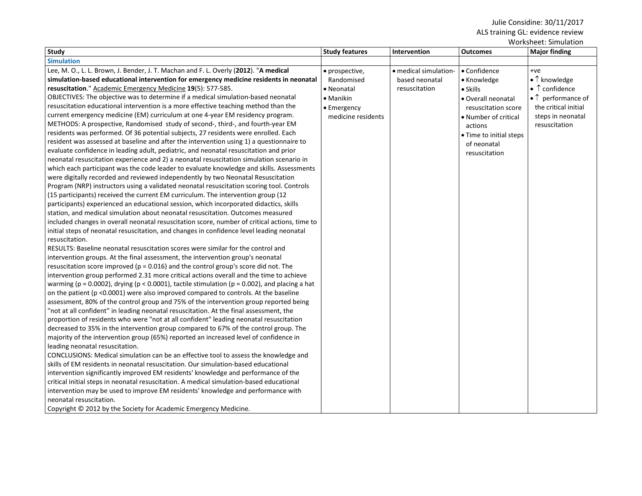|                                                                                                           |                       |                       |                         | www.nect.com/                       |
|-----------------------------------------------------------------------------------------------------------|-----------------------|-----------------------|-------------------------|-------------------------------------|
| <b>Study</b>                                                                                              | <b>Study features</b> | Intervention          | <b>Outcomes</b>         | <b>Major finding</b>                |
| <b>Simulation</b>                                                                                         |                       |                       |                         |                                     |
| Lee, M. O., L. L. Brown, J. Bender, J. T. Machan and F. L. Overly (2012). "A medical                      | • prospective,        | • medical simulation- | • Confidence            | $+ve$                               |
| simulation-based educational intervention for emergency medicine residents in neonatal                    | Randomised            | based neonatal        | • Knowledge             | $\bullet$ $\uparrow$ knowledge      |
| resuscitation." Academic Emergency Medicine 19(5): 577-585.                                               | • Neonatal            | resuscitation         | $\bullet$ Skills        | $\bullet$ $\uparrow$ confidence     |
| OBJECTIVES: The objective was to determine if a medical simulation-based neonatal                         | • Manikin             |                       | · Overall neonatal      | $\bullet$ $\uparrow$ performance of |
| resuscitation educational intervention is a more effective teaching method than the                       | • Emergency           |                       | resuscitation score     | the critical initial                |
| current emergency medicine (EM) curriculum at one 4-year EM residency program.                            | medicine residents    |                       | • Number of critical    | steps in neonatal                   |
| METHODS: A prospective, Randomised study of second-, third-, and fourth-year EM                           |                       |                       | actions                 | resuscitation                       |
| residents was performed. Of 36 potential subjects, 27 residents were enrolled. Each                       |                       |                       | • Time to initial steps |                                     |
| resident was assessed at baseline and after the intervention using 1) a questionnaire to                  |                       |                       | of neonatal             |                                     |
| evaluate confidence in leading adult, pediatric, and neonatal resuscitation and prior                     |                       |                       | resuscitation           |                                     |
| neonatal resuscitation experience and 2) a neonatal resuscitation simulation scenario in                  |                       |                       |                         |                                     |
| which each participant was the code leader to evaluate knowledge and skills. Assessments                  |                       |                       |                         |                                     |
| were digitally recorded and reviewed independently by two Neonatal Resuscitation                          |                       |                       |                         |                                     |
| Program (NRP) instructors using a validated neonatal resuscitation scoring tool. Controls                 |                       |                       |                         |                                     |
| (15 participants) received the current EM curriculum. The intervention group (12                          |                       |                       |                         |                                     |
| participants) experienced an educational session, which incorporated didactics, skills                    |                       |                       |                         |                                     |
| station, and medical simulation about neonatal resuscitation. Outcomes measured                           |                       |                       |                         |                                     |
| included changes in overall neonatal resuscitation score, number of critical actions, time to             |                       |                       |                         |                                     |
| initial steps of neonatal resuscitation, and changes in confidence level leading neonatal                 |                       |                       |                         |                                     |
| resuscitation.                                                                                            |                       |                       |                         |                                     |
| RESULTS: Baseline neonatal resuscitation scores were similar for the control and                          |                       |                       |                         |                                     |
| intervention groups. At the final assessment, the intervention group's neonatal                           |                       |                       |                         |                                     |
| resuscitation score improved (p = 0.016) and the control group's score did not. The                       |                       |                       |                         |                                     |
| intervention group performed 2.31 more critical actions overall and the time to achieve                   |                       |                       |                         |                                     |
| warming ( $p = 0.0002$ ), drying ( $p < 0.0001$ ), tactile stimulation ( $p = 0.002$ ), and placing a hat |                       |                       |                         |                                     |
| on the patient ( $p$ <0.0001) were also improved compared to controls. At the baseline                    |                       |                       |                         |                                     |
| assessment, 80% of the control group and 75% of the intervention group reported being                     |                       |                       |                         |                                     |
| "not at all confident" in leading neonatal resuscitation. At the final assessment, the                    |                       |                       |                         |                                     |
| proportion of residents who were "not at all confident" leading neonatal resuscitation                    |                       |                       |                         |                                     |
| decreased to 35% in the intervention group compared to 67% of the control group. The                      |                       |                       |                         |                                     |
| majority of the intervention group (65%) reported an increased level of confidence in                     |                       |                       |                         |                                     |
| leading neonatal resuscitation.                                                                           |                       |                       |                         |                                     |
| CONCLUSIONS: Medical simulation can be an effective tool to assess the knowledge and                      |                       |                       |                         |                                     |
| skills of EM residents in neonatal resuscitation. Our simulation-based educational                        |                       |                       |                         |                                     |
| intervention significantly improved EM residents' knowledge and performance of the                        |                       |                       |                         |                                     |
| critical initial steps in neonatal resuscitation. A medical simulation-based educational                  |                       |                       |                         |                                     |
| intervention may be used to improve EM residents' knowledge and performance with                          |                       |                       |                         |                                     |
| neonatal resuscitation.                                                                                   |                       |                       |                         |                                     |
| Copyright © 2012 by the Society for Academic Emergency Medicine.                                          |                       |                       |                         |                                     |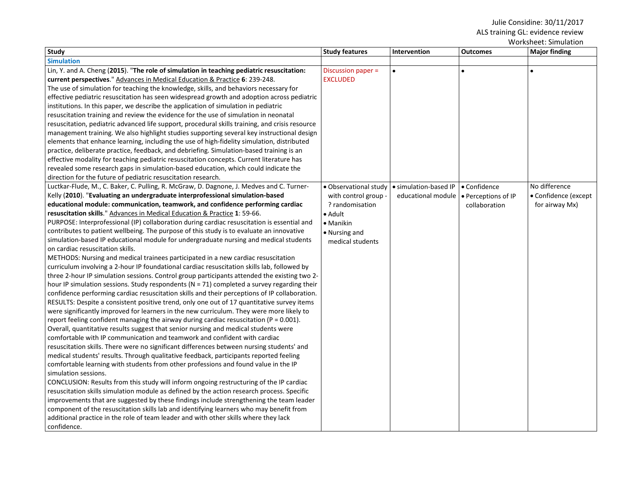| <b>Study</b>                                                                                    | <b>Study features</b> | Intervention          | <b>Outcomes</b>     | WOLKSHEEL, SIIHUIDUUT<br><b>Major finding</b> |
|-------------------------------------------------------------------------------------------------|-----------------------|-----------------------|---------------------|-----------------------------------------------|
| <b>Simulation</b>                                                                               |                       |                       |                     |                                               |
| Lin, Y. and A. Cheng (2015). "The role of simulation in teaching pediatric resuscitation:       | Discussion paper =    | $\bullet$             | $\bullet$           |                                               |
| current perspectives." Advances in Medical Education & Practice 6: 239-248.                     | <b>EXCLUDED</b>       |                       |                     |                                               |
| The use of simulation for teaching the knowledge, skills, and behaviors necessary for           |                       |                       |                     |                                               |
| effective pediatric resuscitation has seen widespread growth and adoption across pediatric      |                       |                       |                     |                                               |
| institutions. In this paper, we describe the application of simulation in pediatric             |                       |                       |                     |                                               |
| resuscitation training and review the evidence for the use of simulation in neonatal            |                       |                       |                     |                                               |
| resuscitation, pediatric advanced life support, procedural skills training, and crisis resource |                       |                       |                     |                                               |
| management training. We also highlight studies supporting several key instructional design      |                       |                       |                     |                                               |
| elements that enhance learning, including the use of high-fidelity simulation, distributed      |                       |                       |                     |                                               |
| practice, deliberate practice, feedback, and debriefing. Simulation-based training is an        |                       |                       |                     |                                               |
| effective modality for teaching pediatric resuscitation concepts. Current literature has        |                       |                       |                     |                                               |
| revealed some research gaps in simulation-based education, which could indicate the             |                       |                       |                     |                                               |
| direction for the future of pediatric resuscitation research.                                   |                       |                       |                     |                                               |
| Luctkar-Flude, M., C. Baker, C. Pulling, R. McGraw, D. Dagnone, J. Medves and C. Turner-        | · Observational study | · simulation-based IP | • Confidence        | No difference                                 |
| Kelly (2010). "Evaluating an undergraduate interprofessional simulation-based                   | with control group    | educational module    | • Perceptions of IP | • Confidence (except                          |
| educational module: communication, teamwork, and confidence performing cardiac                  | ? randomisation       |                       | collaboration       | for airway Mx)                                |
| resuscitation skills." Advances in Medical Education & Practice 1: 59-66.                       | $\bullet$ Adult       |                       |                     |                                               |
| PURPOSE: Interprofessional (IP) collaboration during cardiac resuscitation is essential and     | • Manikin             |                       |                     |                                               |
| contributes to patient wellbeing. The purpose of this study is to evaluate an innovative        | • Nursing and         |                       |                     |                                               |
| simulation-based IP educational module for undergraduate nursing and medical students           | medical students      |                       |                     |                                               |
| on cardiac resuscitation skills.                                                                |                       |                       |                     |                                               |
| METHODS: Nursing and medical trainees participated in a new cardiac resuscitation               |                       |                       |                     |                                               |
| curriculum involving a 2-hour IP foundational cardiac resuscitation skills lab, followed by     |                       |                       |                     |                                               |
| three 2-hour IP simulation sessions. Control group participants attended the existing two 2-    |                       |                       |                     |                                               |
| hour IP simulation sessions. Study respondents (N = 71) completed a survey regarding their      |                       |                       |                     |                                               |
| confidence performing cardiac resuscitation skills and their perceptions of IP collaboration.   |                       |                       |                     |                                               |
| RESULTS: Despite a consistent positive trend, only one out of 17 quantitative survey items      |                       |                       |                     |                                               |
| were significantly improved for learners in the new curriculum. They were more likely to        |                       |                       |                     |                                               |
| report feeling confident managing the airway during cardiac resuscitation ( $P = 0.001$ ).      |                       |                       |                     |                                               |
| Overall, quantitative results suggest that senior nursing and medical students were             |                       |                       |                     |                                               |
| comfortable with IP communication and teamwork and confident with cardiac                       |                       |                       |                     |                                               |
| resuscitation skills. There were no significant differences between nursing students' and       |                       |                       |                     |                                               |
| medical students' results. Through qualitative feedback, participants reported feeling          |                       |                       |                     |                                               |
| comfortable learning with students from other professions and found value in the IP             |                       |                       |                     |                                               |
| simulation sessions.                                                                            |                       |                       |                     |                                               |
| CONCLUSION: Results from this study will inform ongoing restructuring of the IP cardiac         |                       |                       |                     |                                               |
| resuscitation skills simulation module as defined by the action research process. Specific      |                       |                       |                     |                                               |
| improvements that are suggested by these findings include strengthening the team leader         |                       |                       |                     |                                               |
| component of the resuscitation skills lab and identifying learners who may benefit from         |                       |                       |                     |                                               |
| additional practice in the role of team leader and with other skills where they lack            |                       |                       |                     |                                               |
| confidence.                                                                                     |                       |                       |                     |                                               |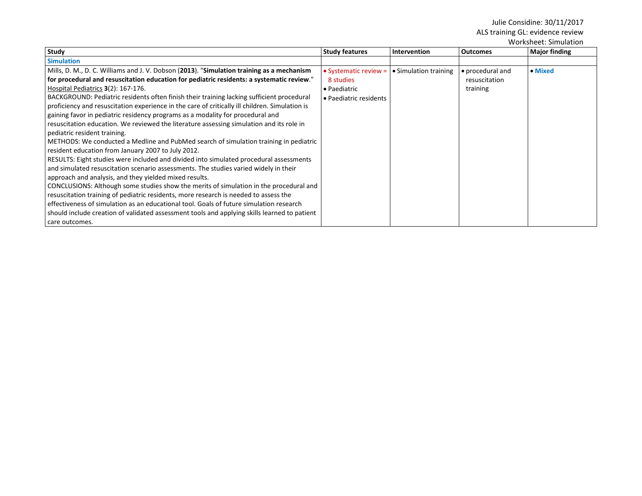| Study                                                                                                                                                                                                                                                                                                                                                                                                                                                                                                                                                                                                                                                                                                                                                                                                                                                                                                                                                                                                                                                                                                                                                                                                                                                                                                                                                                                                                               | <b>Study features</b>                                                        | <b>Intervention</b>   | <b>Outcomes</b>                               | <b>Major finding</b> |
|-------------------------------------------------------------------------------------------------------------------------------------------------------------------------------------------------------------------------------------------------------------------------------------------------------------------------------------------------------------------------------------------------------------------------------------------------------------------------------------------------------------------------------------------------------------------------------------------------------------------------------------------------------------------------------------------------------------------------------------------------------------------------------------------------------------------------------------------------------------------------------------------------------------------------------------------------------------------------------------------------------------------------------------------------------------------------------------------------------------------------------------------------------------------------------------------------------------------------------------------------------------------------------------------------------------------------------------------------------------------------------------------------------------------------------------|------------------------------------------------------------------------------|-----------------------|-----------------------------------------------|----------------------|
| <b>Simulation</b>                                                                                                                                                                                                                                                                                                                                                                                                                                                                                                                                                                                                                                                                                                                                                                                                                                                                                                                                                                                                                                                                                                                                                                                                                                                                                                                                                                                                                   |                                                                              |                       |                                               |                      |
| Mills, D. M., D. C. Williams and J. V. Dobson (2013). "Simulation training as a mechanism<br>for procedural and resuscitation education for pediatric residents: a systematic review."<br>Hospital Pediatrics 3(2): 167-176.<br>BACKGROUND: Pediatric residents often finish their training lacking sufficient procedural<br>proficiency and resuscitation experience in the care of critically ill children. Simulation is<br>gaining favor in pediatric residency programs as a modality for procedural and<br>resuscitation education. We reviewed the literature assessing simulation and its role in<br>pediatric resident training.<br>METHODS: We conducted a Medline and PubMed search of simulation training in pediatric<br>resident education from January 2007 to July 2012.<br>RESULTS: Eight studies were included and divided into simulated procedural assessments<br>and simulated resuscitation scenario assessments. The studies varied widely in their<br>approach and analysis, and they yielded mixed results.<br>CONCLUSIONS: Although some studies show the merits of simulation in the procedural and<br>resuscitation training of pediatric residents, more research is needed to assess the<br>effectiveness of simulation as an educational tool. Goals of future simulation research<br>should include creation of validated assessment tools and applying skills learned to patient<br>care outcomes. | • Systematic review =<br>8 studies<br>• Paediatric<br>• Paediatric residents | • Simulation training | • procedural and<br>resuscitation<br>training | • Mixed              |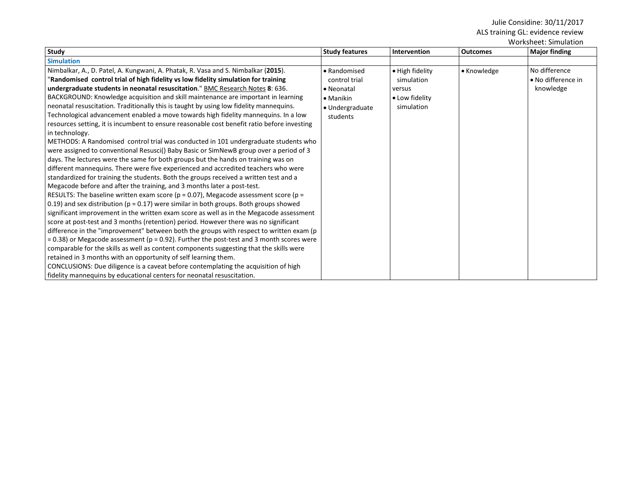| Worksheet: Simulation                                                                       |                       |                 |                 |                      |  |
|---------------------------------------------------------------------------------------------|-----------------------|-----------------|-----------------|----------------------|--|
| <b>Study</b>                                                                                | <b>Study features</b> | Intervention    | <b>Outcomes</b> | <b>Major finding</b> |  |
| <b>Simulation</b>                                                                           |                       |                 |                 |                      |  |
| Nimbalkar, A., D. Patel, A. Kungwani, A. Phatak, R. Vasa and S. Nimbalkar (2015).           | • Randomised          | • High fidelity | • Knowledge     | No difference        |  |
| "Randomised control trial of high fidelity vs low fidelity simulation for training          | control trial         | simulation      |                 | • No difference in   |  |
| undergraduate students in neonatal resuscitation." BMC Research Notes 8: 636.               | • Neonatal            | versus          |                 | knowledge            |  |
| BACKGROUND: Knowledge acquisition and skill maintenance are important in learning           | $\bullet$ Manikin     | • Low fidelity  |                 |                      |  |
| neonatal resuscitation. Traditionally this is taught by using low fidelity mannequins.      | • Undergraduate       | simulation      |                 |                      |  |
| Technological advancement enabled a move towards high fidelity mannequins. In a low         | students              |                 |                 |                      |  |
| resources setting, it is incumbent to ensure reasonable cost benefit ratio before investing |                       |                 |                 |                      |  |
| in technology.                                                                              |                       |                 |                 |                      |  |
| METHODS: A Randomised control trial was conducted in 101 undergraduate students who         |                       |                 |                 |                      |  |
| were assigned to conventional Resusci() Baby Basic or SimNewB group over a period of 3      |                       |                 |                 |                      |  |
| days. The lectures were the same for both groups but the hands on training was on           |                       |                 |                 |                      |  |
| different mannequins. There were five experienced and accredited teachers who were          |                       |                 |                 |                      |  |
| standardized for training the students. Both the groups received a written test and a       |                       |                 |                 |                      |  |
| Megacode before and after the training, and 3 months later a post-test.                     |                       |                 |                 |                      |  |
| RESULTS: The baseline written exam score ( $p = 0.07$ ), Megacode assessment score ( $p =$  |                       |                 |                 |                      |  |
| 0.19) and sex distribution ( $p = 0.17$ ) were similar in both groups. Both groups showed   |                       |                 |                 |                      |  |
| significant improvement in the written exam score as well as in the Megacode assessment     |                       |                 |                 |                      |  |
| score at post-test and 3 months (retention) period. However there was no significant        |                       |                 |                 |                      |  |
| difference in the "improvement" between both the groups with respect to written exam (p     |                       |                 |                 |                      |  |
| = 0.38) or Megacode assessment (p = 0.92). Further the post-test and 3 month scores were    |                       |                 |                 |                      |  |
| comparable for the skills as well as content components suggesting that the skills were     |                       |                 |                 |                      |  |
| retained in 3 months with an opportunity of self learning them.                             |                       |                 |                 |                      |  |
| CONCLUSIONS: Due diligence is a caveat before contemplating the acquisition of high         |                       |                 |                 |                      |  |
| fidelity mannequins by educational centers for neonatal resuscitation.                      |                       |                 |                 |                      |  |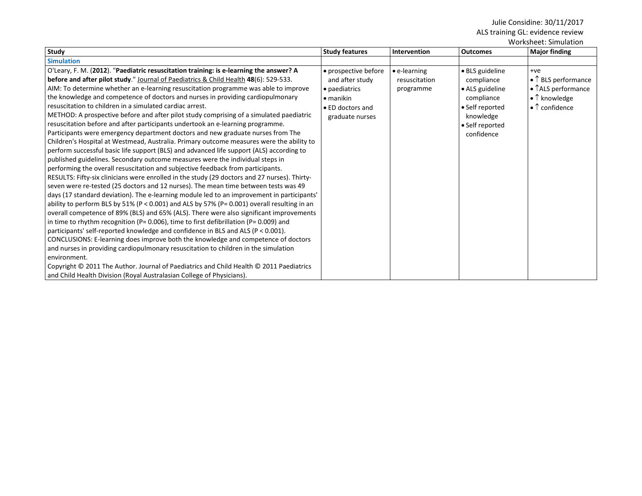|                                                                                                                                                                                                                                                                                                                                                                                                                                                                                                                                                                                                                                                                                                                                                                                                                                                                                                                                                                                                                                                                                                                                                                                                                                                                                                                                                                                                                                                                                                                                                                                                                                                                                                                                                                                                                                                                                                                                                                                                               |                                                                                                                      |                                                    |                                                                                                                                 | Worksheet: Simulation                                                                                                                   |
|---------------------------------------------------------------------------------------------------------------------------------------------------------------------------------------------------------------------------------------------------------------------------------------------------------------------------------------------------------------------------------------------------------------------------------------------------------------------------------------------------------------------------------------------------------------------------------------------------------------------------------------------------------------------------------------------------------------------------------------------------------------------------------------------------------------------------------------------------------------------------------------------------------------------------------------------------------------------------------------------------------------------------------------------------------------------------------------------------------------------------------------------------------------------------------------------------------------------------------------------------------------------------------------------------------------------------------------------------------------------------------------------------------------------------------------------------------------------------------------------------------------------------------------------------------------------------------------------------------------------------------------------------------------------------------------------------------------------------------------------------------------------------------------------------------------------------------------------------------------------------------------------------------------------------------------------------------------------------------------------------------------|----------------------------------------------------------------------------------------------------------------------|----------------------------------------------------|---------------------------------------------------------------------------------------------------------------------------------|-----------------------------------------------------------------------------------------------------------------------------------------|
| Study                                                                                                                                                                                                                                                                                                                                                                                                                                                                                                                                                                                                                                                                                                                                                                                                                                                                                                                                                                                                                                                                                                                                                                                                                                                                                                                                                                                                                                                                                                                                                                                                                                                                                                                                                                                                                                                                                                                                                                                                         | <b>Study features</b>                                                                                                | Intervention                                       | <b>Outcomes</b>                                                                                                                 | <b>Major finding</b>                                                                                                                    |
| <b>Simulation</b>                                                                                                                                                                                                                                                                                                                                                                                                                                                                                                                                                                                                                                                                                                                                                                                                                                                                                                                                                                                                                                                                                                                                                                                                                                                                                                                                                                                                                                                                                                                                                                                                                                                                                                                                                                                                                                                                                                                                                                                             |                                                                                                                      |                                                    |                                                                                                                                 |                                                                                                                                         |
| O'Leary, F. M. (2012). "Paediatric resuscitation training: is e-learning the answer? A<br>before and after pilot study." Journal of Paediatrics & Child Health 48(6): 529-533.<br>AIM: To determine whether an e-learning resuscitation programme was able to improve<br>the knowledge and competence of doctors and nurses in providing cardiopulmonary<br>resuscitation to children in a simulated cardiac arrest.<br>METHOD: A prospective before and after pilot study comprising of a simulated paediatric<br>resuscitation before and after participants undertook an e-learning programme.<br>Participants were emergency department doctors and new graduate nurses from The<br>Children's Hospital at Westmead, Australia. Primary outcome measures were the ability to<br>perform successful basic life support (BLS) and advanced life support (ALS) according to<br>published guidelines. Secondary outcome measures were the individual steps in<br>performing the overall resuscitation and subjective feedback from participants.<br>RESULTS: Fifty-six clinicians were enrolled in the study (29 doctors and 27 nurses). Thirty-<br>seven were re-tested (25 doctors and 12 nurses). The mean time between tests was 49<br>days (17 standard deviation). The e-learning module led to an improvement in participants'<br>ability to perform BLS by 51% (P < 0.001) and ALS by 57% (P= 0.001) overall resulting in an<br>overall competence of 89% (BLS) and 65% (ALS). There were also significant improvements<br>in time to rhythm recognition (P= $0.006$ ), time to first defibrillation (P= $0.009$ ) and<br>participants' self-reported knowledge and confidence in BLS and ALS ( $P < 0.001$ ).<br>CONCLUSIONS: E-learning does improve both the knowledge and competence of doctors<br>and nurses in providing cardiopulmonary resuscitation to children in the simulation<br>environment.<br>Copyright © 2011 The Author. Journal of Paediatrics and Child Health © 2011 Paediatrics | • prospective before<br>and after study<br>• paediatrics<br>$\bullet$ manikin<br>• ED doctors and<br>graduate nurses | $\bullet$ e-learning<br>resuscitation<br>programme | · BLS guideline<br>compliance<br>• ALS guideline<br>compliance<br>• Self reported<br>knowledge<br>• Self reported<br>confidence | $+ve$<br>$\bullet$ T BLS performance<br>$\bullet$ TALS performance<br>$\bullet$ $\uparrow$ knowledge<br>$\bullet$ $\uparrow$ confidence |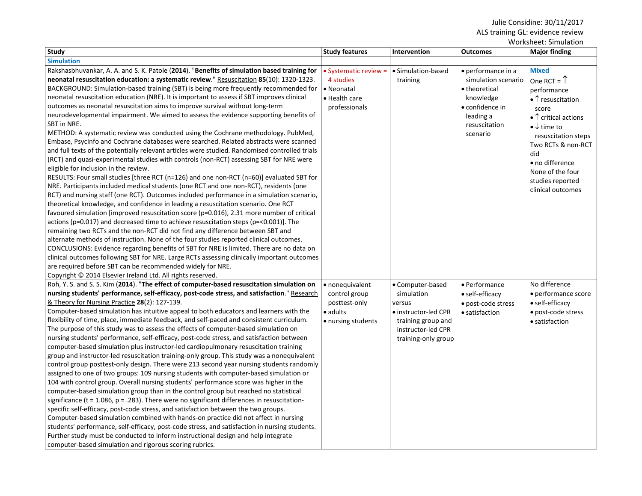| Worksheet: Simulation                                                                              |                       |                      |                     |                                       |
|----------------------------------------------------------------------------------------------------|-----------------------|----------------------|---------------------|---------------------------------------|
| Study                                                                                              | <b>Study features</b> | Intervention         | <b>Outcomes</b>     | <b>Major finding</b>                  |
| <b>Simulation</b>                                                                                  |                       |                      |                     |                                       |
| Rakshasbhuvankar, A. A. and S. K. Patole (2014). "Benefits of simulation based training for        | • Systematic review = | · Simulation-based   | · performance in a  | <b>Mixed</b>                          |
| neonatal resuscitation education: a systematic review." Resuscitation 85(10): 1320-1323.           | 4 studies             | training             | simulation scenario | One RCT = $\uparrow$                  |
| BACKGROUND: Simulation-based training (SBT) is being more frequently recommended for               | • Neonatal            |                      | • theoretical       | performance                           |
| neonatal resuscitation education (NRE). It is important to assess if SBT improves clinical         | • Health care         |                      | knowledge           | $\bullet$ $\uparrow$ resuscitation    |
| outcomes as neonatal resuscitation aims to improve survival without long-term                      | professionals         |                      | • confidence in     | score                                 |
| neurodevelopmental impairment. We aimed to assess the evidence supporting benefits of              |                       |                      | leading a           | $\bullet$ $\uparrow$ critical actions |
| SBT in NRE.                                                                                        |                       |                      | resuscitation       | $\bullet \downarrow$ time to          |
| METHOD: A systematic review was conducted using the Cochrane methodology. PubMed,                  |                       |                      | scenario            | resuscitation steps                   |
| Embase, PsycInfo and Cochrane databases were searched. Related abstracts were scanned              |                       |                      |                     | Two RCTs & non-RCT                    |
| and full texts of the potentially relevant articles were studied. Randomised controlled trials     |                       |                      |                     | did                                   |
| (RCT) and quasi-experimental studies with controls (non-RCT) assessing SBT for NRE were            |                       |                      |                     | • no difference                       |
| eligible for inclusion in the review.                                                              |                       |                      |                     | None of the four                      |
| RESULTS: Four small studies [three RCT (n=126) and one non-RCT (n=60)] evaluated SBT for           |                       |                      |                     | studies reported                      |
| NRE. Participants included medical students (one RCT and one non-RCT), residents (one              |                       |                      |                     | clinical outcomes                     |
| RCT) and nursing staff (one RCT). Outcomes included performance in a simulation scenario,          |                       |                      |                     |                                       |
| theoretical knowledge, and confidence in leading a resuscitation scenario. One RCT                 |                       |                      |                     |                                       |
| favoured simulation [improved resuscitation score (p=0.016), 2.31 more number of critical          |                       |                      |                     |                                       |
| actions (p=0.017) and decreased time to achieve resuscitation steps (p=<0.001)]. The               |                       |                      |                     |                                       |
| remaining two RCTs and the non-RCT did not find any difference between SBT and                     |                       |                      |                     |                                       |
| alternate methods of instruction. None of the four studies reported clinical outcomes.             |                       |                      |                     |                                       |
| CONCLUSIONS: Evidence regarding benefits of SBT for NRE is limited. There are no data on           |                       |                      |                     |                                       |
| clinical outcomes following SBT for NRE. Large RCTs assessing clinically important outcomes        |                       |                      |                     |                                       |
| are required before SBT can be recommended widely for NRE.                                         |                       |                      |                     |                                       |
| Copyright © 2014 Elsevier Ireland Ltd. All rights reserved.                                        |                       |                      |                     |                                       |
| Roh, Y. S. and S. S. Kim (2014). "The effect of computer-based resuscitation simulation on         | • nonequivalent       | • Computer-based     | • Performance       | No difference                         |
| nursing students' performance, self-efficacy, post-code stress, and satisfaction." Research        | control group         | simulation           | • self-efficacy     | • performance score                   |
| & Theory for Nursing Practice 28(2): 127-139.                                                      | posttest-only         | versus               | · post-code stress  | • self-efficacy                       |
| Computer-based simulation has intuitive appeal to both educators and learners with the             | • adults              | • instructor-led CPR | • satisfaction      | • post-code stress                    |
| flexibility of time, place, immediate feedback, and self-paced and consistent curriculum.          | • nursing students    | training group and   |                     | • satisfaction                        |
| The purpose of this study was to assess the effects of computer-based simulation on                |                       | instructor-led CPR   |                     |                                       |
| nursing students' performance, self-efficacy, post-code stress, and satisfaction between           |                       | training-only group  |                     |                                       |
| computer-based simulation plus instructor-led cardiopulmonary resuscitation training               |                       |                      |                     |                                       |
| group and instructor-led resuscitation training-only group. This study was a nonequivalent         |                       |                      |                     |                                       |
| control group posttest-only design. There were 213 second year nursing students randomly           |                       |                      |                     |                                       |
| assigned to one of two groups: 109 nursing students with computer-based simulation or              |                       |                      |                     |                                       |
| 104 with control group. Overall nursing students' performance score was higher in the              |                       |                      |                     |                                       |
| computer-based simulation group than in the control group but reached no statistical               |                       |                      |                     |                                       |
| significance ( $t = 1.086$ , $p = .283$ ). There were no significant differences in resuscitation- |                       |                      |                     |                                       |
| specific self-efficacy, post-code stress, and satisfaction between the two groups.                 |                       |                      |                     |                                       |
| Computer-based simulation combined with hands-on practice did not affect in nursing                |                       |                      |                     |                                       |
| students' performance, self-efficacy, post-code stress, and satisfaction in nursing students.      |                       |                      |                     |                                       |
| Further study must be conducted to inform instructional design and help integrate                  |                       |                      |                     |                                       |
| computer-based simulation and rigorous scoring rubrics.                                            |                       |                      |                     |                                       |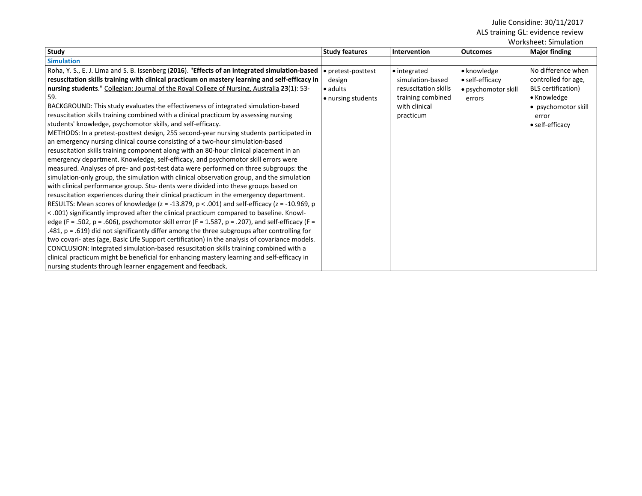| <u>WULNSHEEL, JIIIIUIALIUII</u>                                                                          |                       |                      |                     |                      |
|----------------------------------------------------------------------------------------------------------|-----------------------|----------------------|---------------------|----------------------|
| Study                                                                                                    | <b>Study features</b> | <b>Intervention</b>  | <b>Outcomes</b>     | <b>Major finding</b> |
| <b>Simulation</b>                                                                                        |                       |                      |                     |                      |
| Roha, Y. S., E. J. Lima and S. B. Issenberg (2016). "Effects of an integrated simulation-based           | • pretest-posttest    | • integrated         | • knowledge         | No difference when   |
| resuscitation skills training with clinical practicum on mastery learning and self-efficacy in           | design                | simulation-based     | • self-efficacy     | controlled for age,  |
| nursing students." Collegian: Journal of the Royal College of Nursing, Australia 23(1): 53-              | $\bullet$ adults      | resuscitation skills | • psychomotor skill | BLS certification)   |
| 59.                                                                                                      | • nursing students    | training combined    | errors              | • Knowledge          |
| BACKGROUND: This study evaluates the effectiveness of integrated simulation-based                        |                       | with clinical        |                     | • psychomotor skill  |
| resuscitation skills training combined with a clinical practicum by assessing nursing                    |                       | practicum            |                     | error                |
| students' knowledge, psychomotor skills, and self-efficacy.                                              |                       |                      |                     | • self-efficacy      |
| METHODS: In a pretest-posttest design, 255 second-year nursing students participated in                  |                       |                      |                     |                      |
| an emergency nursing clinical course consisting of a two-hour simulation-based                           |                       |                      |                     |                      |
| resuscitation skills training component along with an 80-hour clinical placement in an                   |                       |                      |                     |                      |
| emergency department. Knowledge, self-efficacy, and psychomotor skill errors were                        |                       |                      |                     |                      |
| measured. Analyses of pre- and post-test data were performed on three subgroups: the                     |                       |                      |                     |                      |
| simulation-only group, the simulation with clinical observation group, and the simulation                |                       |                      |                     |                      |
| with clinical performance group. Stu- dents were divided into these groups based on                      |                       |                      |                     |                      |
| resuscitation experiences during their clinical practicum in the emergency department.                   |                       |                      |                     |                      |
| RESULTS: Mean scores of knowledge ( $z = -13.879$ , $p < .001$ ) and self-efficacy ( $z = -10.969$ , $p$ |                       |                      |                     |                      |
| < .001) significantly improved after the clinical practicum compared to baseline. Knowl-                 |                       |                      |                     |                      |
| edge (F = .502, p = .606), psychomotor skill error (F = 1.587, p = .207), and self-efficacy (F =         |                       |                      |                     |                      |
| .481, $p = .619$ ) did not significantly differ among the three subgroups after controlling for          |                       |                      |                     |                      |
| two covari- ates (age, Basic Life Support certification) in the analysis of covariance models.           |                       |                      |                     |                      |
| CONCLUSION: Integrated simulation-based resuscitation skills training combined with a                    |                       |                      |                     |                      |
| clinical practicum might be beneficial for enhancing mastery learning and self-efficacy in               |                       |                      |                     |                      |
| nursing students through learner engagement and feedback.                                                |                       |                      |                     |                      |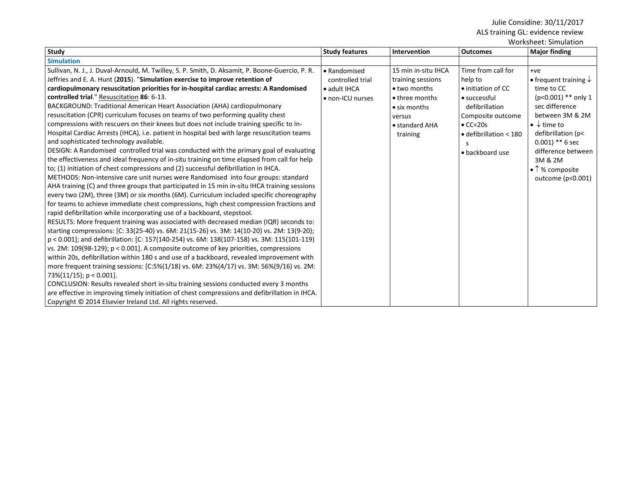| <b>Study</b>                                                                                                                                                                                                                                                                                                                                                                                                                                                                                                                                                                                                                                                                                                                                                                                                                                                                                                                                                                                                                                                                                                                                                                                                                                                                                                                                                                                                                                                                                                                                                                                                                                                                                                                                                                                                                                                                                                                                                                                                                                                                | <b>Study features</b>                                                        | Intervention                                                                                                                               | <b>Outcomes</b>                                                                                                                                                                     | <b>Major finding</b>                                                                                                                                                                                                                                                              |
|-----------------------------------------------------------------------------------------------------------------------------------------------------------------------------------------------------------------------------------------------------------------------------------------------------------------------------------------------------------------------------------------------------------------------------------------------------------------------------------------------------------------------------------------------------------------------------------------------------------------------------------------------------------------------------------------------------------------------------------------------------------------------------------------------------------------------------------------------------------------------------------------------------------------------------------------------------------------------------------------------------------------------------------------------------------------------------------------------------------------------------------------------------------------------------------------------------------------------------------------------------------------------------------------------------------------------------------------------------------------------------------------------------------------------------------------------------------------------------------------------------------------------------------------------------------------------------------------------------------------------------------------------------------------------------------------------------------------------------------------------------------------------------------------------------------------------------------------------------------------------------------------------------------------------------------------------------------------------------------------------------------------------------------------------------------------------------|------------------------------------------------------------------------------|--------------------------------------------------------------------------------------------------------------------------------------------|-------------------------------------------------------------------------------------------------------------------------------------------------------------------------------------|-----------------------------------------------------------------------------------------------------------------------------------------------------------------------------------------------------------------------------------------------------------------------------------|
| <b>Simulation</b>                                                                                                                                                                                                                                                                                                                                                                                                                                                                                                                                                                                                                                                                                                                                                                                                                                                                                                                                                                                                                                                                                                                                                                                                                                                                                                                                                                                                                                                                                                                                                                                                                                                                                                                                                                                                                                                                                                                                                                                                                                                           |                                                                              |                                                                                                                                            |                                                                                                                                                                                     |                                                                                                                                                                                                                                                                                   |
| Sullivan, N. J., J. Duval-Arnould, M. Twilley, S. P. Smith, D. Aksamit, P. Boone-Guercio, P. R.<br>Jeffries and E. A. Hunt (2015). "Simulation exercise to improve retention of<br>cardiopulmonary resuscitation priorities for in-hospital cardiac arrests: A Randomised<br>controlled trial." Resuscitation 86: 6-13.<br>BACKGROUND: Traditional American Heart Association (AHA) cardiopulmonary<br>resuscitation (CPR) curriculum focuses on teams of two performing quality chest<br>compressions with rescuers on their knees but does not include training specific to In-<br>Hospital Cardiac Arrests (IHCA), i.e. patient in hospital bed with large resuscitation teams<br>and sophisticated technology available.<br>DESIGN: A Randomised controlled trial was conducted with the primary goal of evaluating<br>the effectiveness and ideal frequency of in-situ training on time elapsed from call for help<br>to; (1) initiation of chest compressions and (2) successful defibrillation in IHCA.<br>METHODS: Non-intensive care unit nurses were Randomised into four groups: standard<br>AHA training (C) and three groups that participated in 15 min in-situ IHCA training sessions<br>every two (2M), three (3M) or six months (6M). Curriculum included specific choreography<br>for teams to achieve immediate chest compressions, high chest compression fractions and<br>rapid defibrillation while incorporating use of a backboard, stepstool.<br>RESULTS: More frequent training was associated with decreased median (IQR) seconds to:<br>starting compressions: [C: 33(25-40) vs. 6M: 21(15-26) vs. 3M: 14(10-20) vs. 2M: 13(9-20);<br>p < 0.001]; and defibrillation: [C: 157(140-254) vs. 6M: 138(107-158) vs. 3M: 115(101-119)<br>vs. 2M: 109(98-129); p < 0.001]. A composite outcome of key priorities, compressions<br>within 20s, defibrillation within 180 s and use of a backboard, revealed improvement with<br>more frequent training sessions: [C:5%(1/18) vs. 6M: 23%(4/17) vs. 3M: 56%(9/16) vs. 2M:<br>$73\%(11/15); p < 0.001$ . | • Randomised<br>controlled trial<br>$\bullet$ adult IHCA<br>• non-ICU nurses | 15 min in-situ IHCA<br>training sessions<br>• two months<br>• three months<br>$\bullet$ six months<br>versus<br>• standard AHA<br>training | Time from call for<br>help to<br>• initiation of CC<br>• successful<br>defibrillation<br>Composite outcome<br>$\bullet$ CC<20s<br>$\bullet$ defibrillation < 180<br>• backboard use | $+ve$<br>• frequent training $\downarrow$<br>time to CC<br>$(p<0.001)$ ** only 1<br>sec difference<br>between 3M & 2M<br>$\bullet \downarrow$ time to<br>defibrillation (p<<br>$0.001$ ) ** 6 sec<br>difference between<br>3M & 2M<br>$\bullet$ 1% composite<br>outcome (p<0.001) |

CONCLUSION: Results revealed short in-situ training sessions conducted every 3 months are effective in improving timely initiation of chest compressions and defibrillation in IHCA. Copyright © 2014 Elsevier Ireland Ltd. All rights reserved.